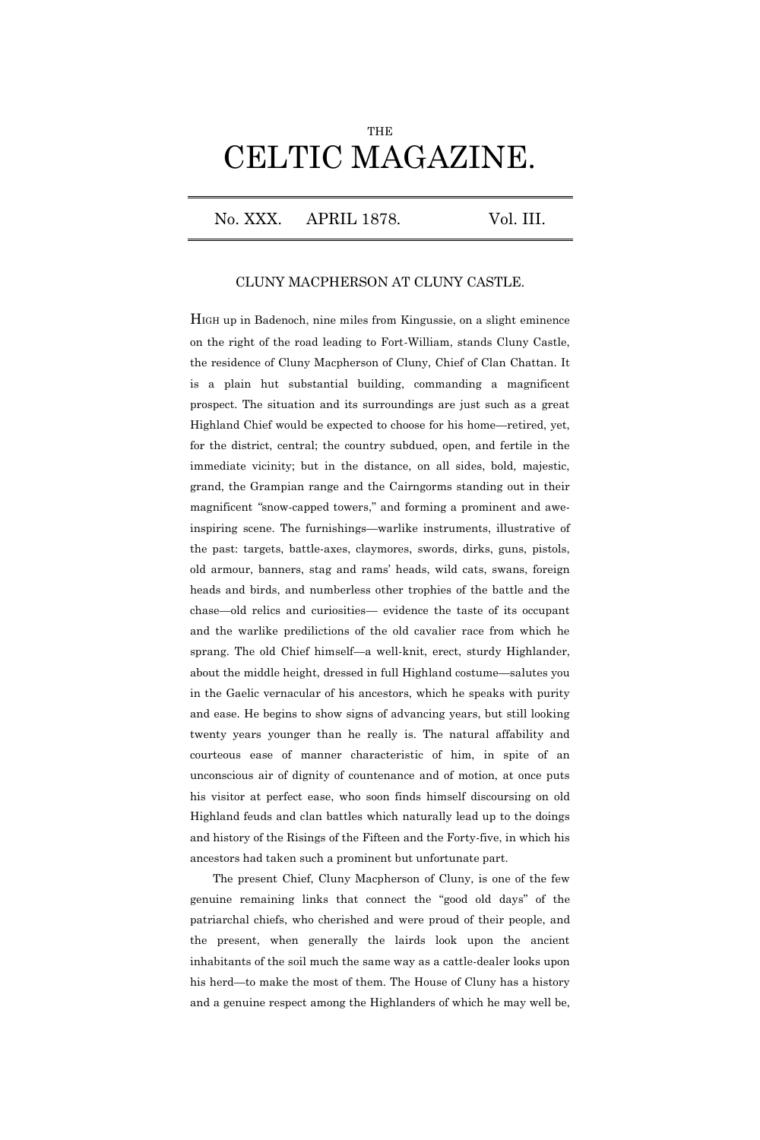## **THE** CELTIC MAGAZINE.

No. XXX. APRIL 1878. Vol. III.

## CLUNY MACPHERSON AT CLUNY CASTLE.

HIGH up in Badenoch, nine miles from Kingussie, on a slight eminence on the right of the road leading to Fort-William, stands Cluny Castle, the residence of Cluny Macpherson of Cluny, Chief of Clan Chattan. It is a plain hut substantial building, commanding a magnificent prospect. The situation and its surroundings are just such as a great Highland Chief would be expected to choose for his home—retired, yet, for the district, central; the country subdued, open, and fertile in the immediate vicinity; but in the distance, on all sides, bold, majestic, grand, the Grampian range and the Cairngorms standing out in their magnificent *"*snow-capped towers," and forming a prominent and aweinspiring scene. The furnishings—warlike instruments, illustrative of the past: targets, battle-axes, claymores, swords, dirks, guns, pistols, old armour, banners, stag and rams' heads, wild cats, swans, foreign heads and birds, and numberless other trophies of the battle and the chase—old relics and curiosities— evidence the taste of its occupant and the warlike predilictions of the old cavalier race from which he sprang. The old Chief himself—a well-knit, erect, sturdy Highlander, about the middle height, dressed in full Highland costume—salutes you in the Gaelic vernacular of his ancestors, which he speaks with purity and ease. He begins to show signs of advancing years, but still looking twenty years younger than he really is. The natural affability and courteous ease of manner characteristic of him, in spite of an unconscious air of dignity of countenance and of motion, at once puts his visitor at perfect ease, who soon finds himself discoursing on old Highland feuds and clan battles which naturally lead up to the doings and history of the Risings of the Fifteen and the Forty-five, in which his ancestors had taken such a prominent but unfortunate part.

The present Chief, Cluny Macpherson of Cluny, is one of the few genuine remaining links that connect the "good old days" of the patriarchal chiefs, who cherished and were proud of their people, and the present, when generally the lairds look upon the ancient inhabitants of the soil much the same way as a cattle-dealer looks upon his herd—to make the most of them. The House of Cluny has a history and a genuine respect among the Highlanders of which he may well be,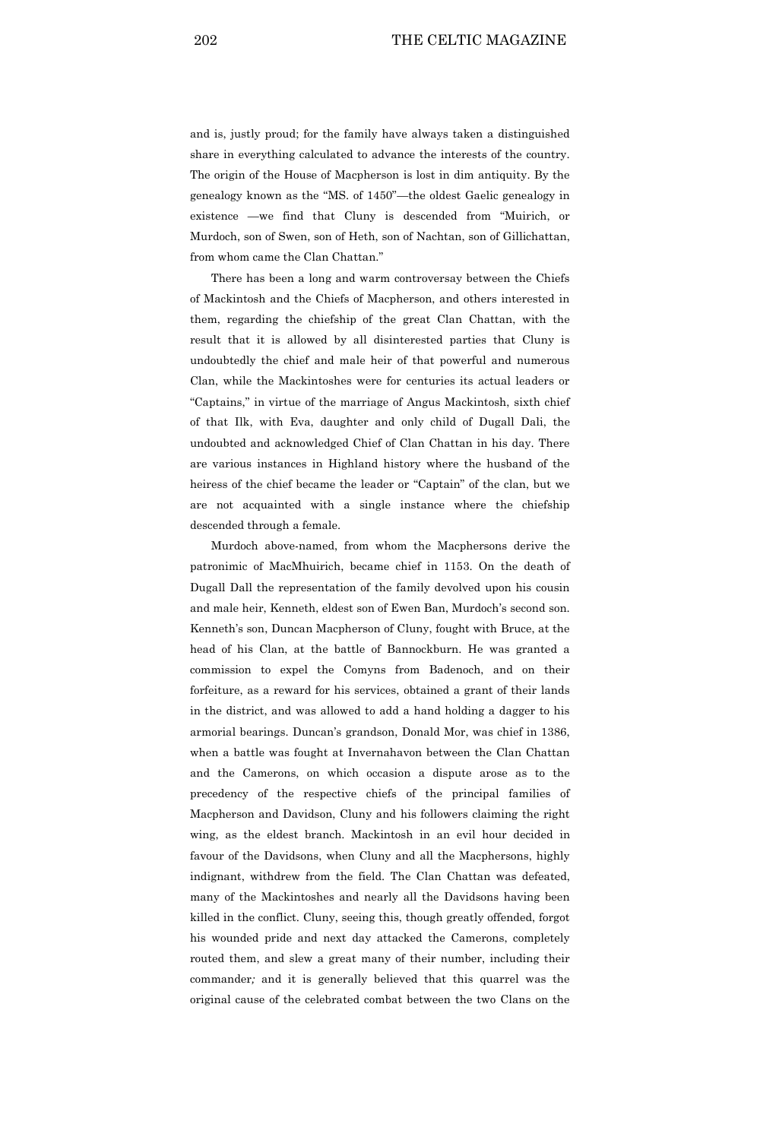and is, justly proud; for the family have always taken a distinguished share in everything calculated to advance the interests of the country. The origin of the House of Macpherson is lost in dim antiquity. By the genealogy known as the "MS. of 1450"—the oldest Gaelic genealogy in existence —we find that Cluny is descended from "Muirich, or Murdoch, son of Swen, son of Heth, son of Nachtan, son of Gillichattan, from whom came the Clan Chattan."

There has been a long and warm controversay between the Chiefs of Mackintosh and the Chiefs of Macpherson, and others interested in them, regarding the chiefship of the great Clan Chattan, with the result that it is allowed by all disinterested parties that Cluny is undoubtedly the chief and male heir of that powerful and numerous Clan, while the Mackintoshes were for centuries its actual leaders or "Captains," in virtue of the marriage of Angus Mackintosh, sixth chief of that Ilk, with Eva, daughter and only child of Dugall Dali, the undoubted and acknowledged Chief of Clan Chattan in his day. There are various instances in Highland history where the husband of the heiress of the chief became the leader or "Captain" of the clan, but we are not acquainted with a single instance where the chiefship descended through a female.

Murdoch above-named, from whom the Macphersons derive the patronimic of MacMhuirich, became chief in 1153. On the death of Dugall Dall the representation of the family devolved upon his cousin and male heir, Kenneth, eldest son of Ewen Ban, Murdoch's second son. Kenneth's son, Duncan Macpherson of Cluny, fought with Bruce, at the head of his Clan, at the battle of Bannockburn. He was granted a commission to expel the Comyns from Badenoch, and on their forfeiture, as a reward for his services, obtained a grant of their lands in the district, and was allowed to add a hand holding a dagger to his armorial bearings. Duncan's grandson, Donald Mor, was chief in 1386, when a battle was fought at Invernahavon between the Clan Chattan and the Camerons, on which occasion a dispute arose as to the precedency of the respective chiefs of the principal families of Macpherson and Davidson, Cluny and his followers claiming the right wing, as the eldest branch. Mackintosh in an evil hour decided in favour of the Davidsons, when Cluny and all the Macphersons, highly indignant, withdrew from the field. The Clan Chattan was defeated, many of the Mackintoshes and nearly all the Davidsons having been killed in the conflict. Cluny, seeing this, though greatly offended, forgot his wounded pride and next day attacked the Camerons, completely routed them, and slew a great many of their number, including their commander*;* and it is generally believed that this quarrel was the original cause of the celebrated combat between the two Clans on the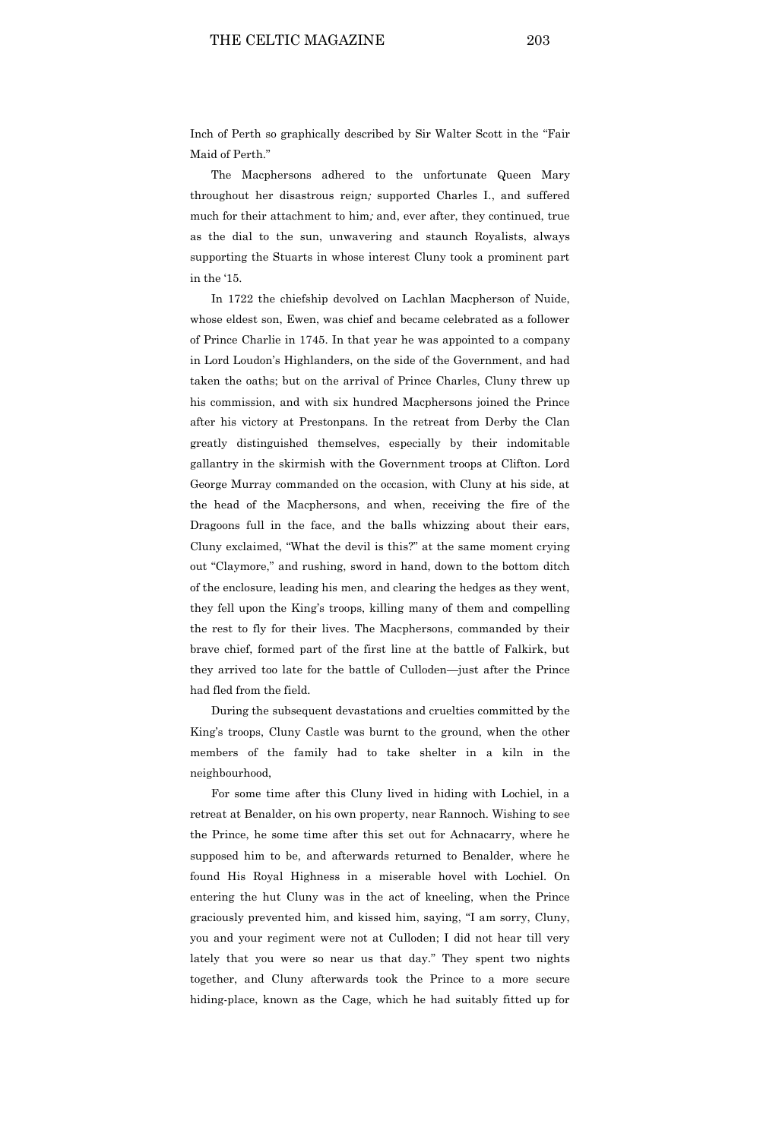Inch of Perth so graphically described by Sir Walter Scott in the "Fair Maid of Perth<sup>"</sup>

The Macphersons adhered to the unfortunate Queen Mary throughout her disastrous reign*;* supported Charles I., and suffered much for their attachment to him*;* and, ever after, they continued, true as the dial to the sun, unwavering and staunch Royalists, always supporting the Stuarts in whose interest Cluny took a prominent part in the '15.

In 1722 the chiefship devolved on Lachlan Macpherson of Nuide, whose eldest son, Ewen, was chief and became celebrated as a follower of Prince Charlie in 1745. In that year he was appointed to a company in Lord Loudon's Highlanders, on the side of the Government, and had taken the oaths; but on the arrival of Prince Charles, Cluny threw up his commission, and with six hundred Macphersons joined the Prince after his victory at Prestonpans. In the retreat from Derby the Clan greatly distinguished themselves, especially by their indomitable gallantry in the skirmish with the Government troops at Clifton. Lord George Murray commanded on the occasion, with Cluny at his side, at the head of the Macphersons, and when, receiving the fire of the Dragoons full in the face, and the balls whizzing about their ears, Cluny exclaimed, "What the devil is this?" at the same moment crying out "Claymore," and rushing, sword in hand, down to the bottom ditch of the enclosure, leading his men, and clearing the hedges as they went, they fell upon the King's troops, killing many of them and compelling the rest to fly for their lives. The Macphersons, commanded by their brave chief, formed part of the first line at the battle of Falkirk, but they arrived too late for the battle of Culloden—just after the Prince had fled from the field.

During the subsequent devastations and cruelties committed by the King's troops, Cluny Castle was burnt to the ground, when the other members of the family had to take shelter in a kiln in the neighbourhood,

For some time after this Cluny lived in hiding with Lochiel, in a retreat at Benalder, on his own property, near Rannoch. Wishing to see the Prince, he some time after this set out for Achnacarry, where he supposed him to be, and afterwards returned to Benalder, where he found His Royal Highness in a miserable hovel with Lochiel. On entering the hut Cluny was in the act of kneeling, when the Prince graciously prevented him, and kissed him, saying, "I am sorry, Cluny, you and your regiment were not at Culloden; I did not hear till very lately that you were so near us that day." They spent two nights together, and Cluny afterwards took the Prince to a more secure hiding-place, known as the Cage, which he had suitably fitted up for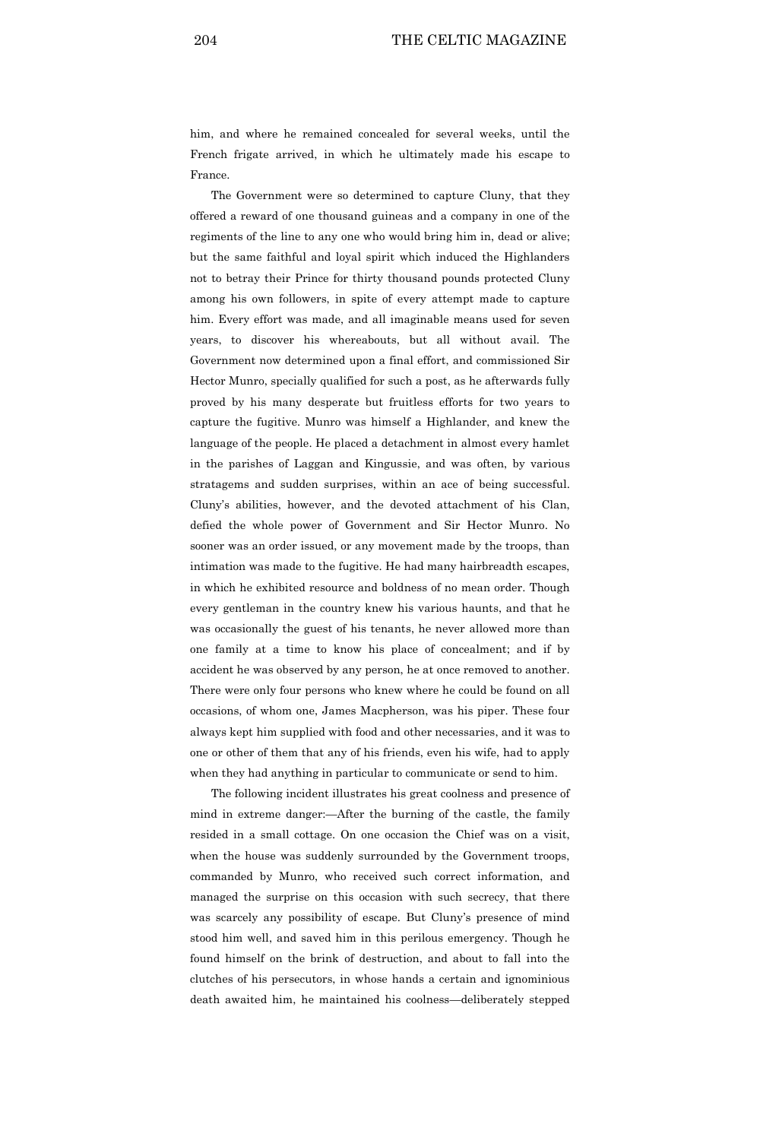him, and where he remained concealed for several weeks, until the French frigate arrived, in which he ultimately made his escape to France.

The Government were so determined to capture Cluny, that they offered a reward of one thousand guineas and a company in one of the regiments of the line to any one who would bring him in, dead or alive; but the same faithful and loyal spirit which induced the Highlanders not to betray their Prince for thirty thousand pounds protected Cluny among his own followers, in spite of every attempt made to capture him. Every effort was made, and all imaginable means used for seven years, to discover his whereabouts, but all without avail. The Government now determined upon a final effort, and commissioned Sir Hector Munro, specially qualified for such a post, as he afterwards fully proved by his many desperate but fruitless efforts for two years to capture the fugitive. Munro was himself a Highlander, and knew the language of the people. He placed a detachment in almost every hamlet in the parishes of Laggan and Kingussie, and was often, by various stratagems and sudden surprises, within an ace of being successful. Cluny's abilities, however, and the devoted attachment of his Clan, defied the whole power of Government and Sir Hector Munro. No sooner was an order issued, or any movement made by the troops, than intimation was made to the fugitive. He had many hairbreadth escapes, in which he exhibited resource and boldness of no mean order. Though every gentleman in the country knew his various haunts, and that he was occasionally the guest of his tenants, he never allowed more than one family at a time to know his place of concealment; and if by accident he was observed by any person, he at once removed to another. There were only four persons who knew where he could be found on all occasions, of whom one, James Macpherson, was his piper. These four always kept him supplied with food and other necessaries, and it was to one or other of them that any of his friends, even his wife, had to apply when they had anything in particular to communicate or send to him.

The following incident illustrates his great coolness and presence of mind in extreme danger:—After the burning of the castle, the family resided in a small cottage. On one occasion the Chief was on a visit, when the house was suddenly surrounded by the Government troops, commanded by Munro, who received such correct information, and managed the surprise on this occasion with such secrecy, that there was scarcely any possibility of escape. But Cluny's presence of mind stood him well, and saved him in this perilous emergency. Though he found himself on the brink of destruction, and about to fall into the clutches of his persecutors, in whose hands a certain and ignominious death awaited him, he maintained his coolness—deliberately stepped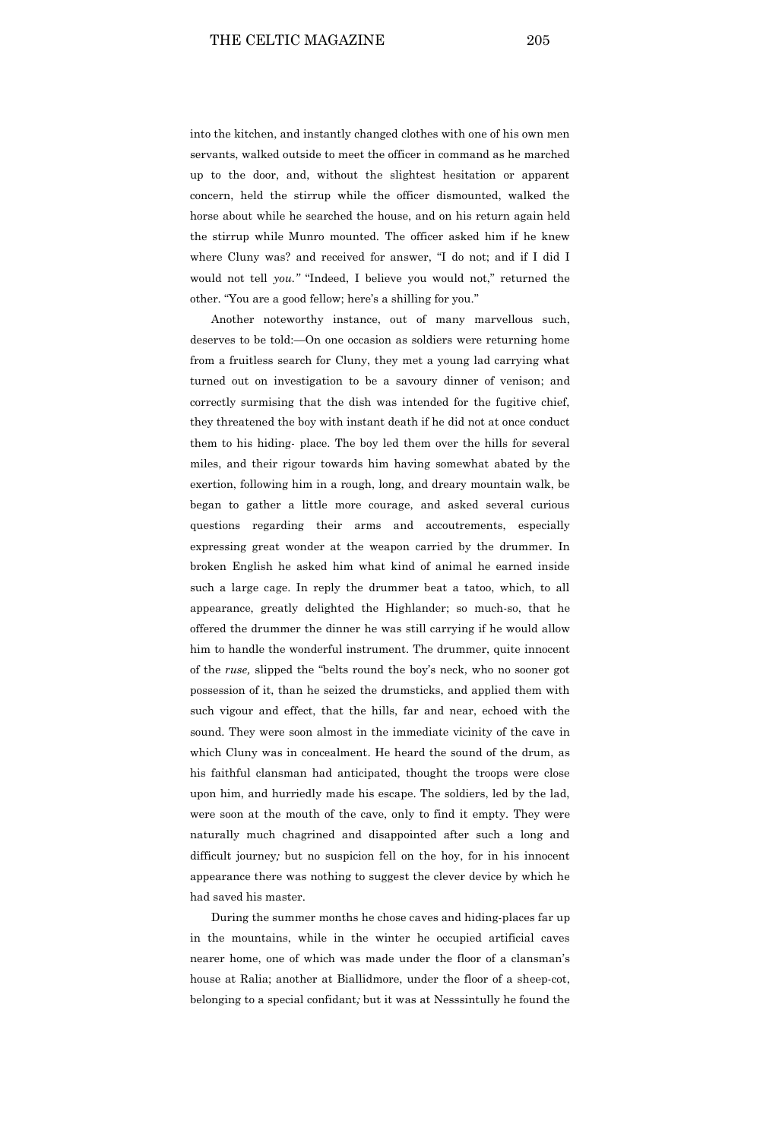into the kitchen, and instantly changed clothes with one of his own men servants, walked outside to meet the officer in command as he marched up to the door, and, without the slightest hesitation or apparent concern, held the stirrup while the officer dismounted, walked the horse about while he searched the house, and on his return again held the stirrup while Munro mounted. The officer asked him if he knew where Cluny was? and received for answer, "I do not; and if I did I would not tell *you."* "Indeed, I believe you would not," returned the other. "You are a good fellow; here's a shilling for you.''

Another noteworthy instance, out of many marvellous such, deserves to be told:—On one occasion as soldiers were returning home from a fruitless search for Cluny, they met a young lad carrying what turned out on investigation to be a savoury dinner of venison; and correctly surmising that the dish was intended for the fugitive chief, they threatened the boy with instant death if he did not at once conduct them to his hiding- place. The boy led them over the hills for several miles, and their rigour towards him having somewhat abated by the exertion, following him in a rough, long, and dreary mountain walk, be began to gather a little more courage, and asked several curious questions regarding their arms and accoutrements, especially expressing great wonder at the weapon carried by the drummer. In broken English he asked him what kind of animal he earned inside such a large cage. In reply the drummer beat a tatoo, which, to all appearance, greatly delighted the Highlander; so much-so, that he offered the drummer the dinner he was still carrying if he would allow him to handle the wonderful instrument. The drummer, quite innocent of the *ruse,* slipped the "belts round the boy's neck, who no sooner got possession of it, than he seized the drumsticks, and applied them with such vigour and effect, that the hills, far and near, echoed with the sound. They were soon almost in the immediate vicinity of the cave in which Cluny was in concealment. He heard the sound of the drum, as his faithful clansman had anticipated, thought the troops were close upon him, and hurriedly made his escape. The soldiers, led by the lad, were soon at the mouth of the cave, only to find it empty. They were naturally much chagrined and disappointed after such a long and difficult journey*;* but no suspicion fell on the hoy, for in his innocent appearance there was nothing to suggest the clever device by which he had saved his master.

During the summer months he chose caves and hiding-places far up in the mountains, while in the winter he occupied artificial caves nearer home, one of which was made under the floor of a clansman's house at Ralia; another at Biallidmore, under the floor of a sheep-cot, belonging to a special confidant*;* but it was at Nesssintully he found the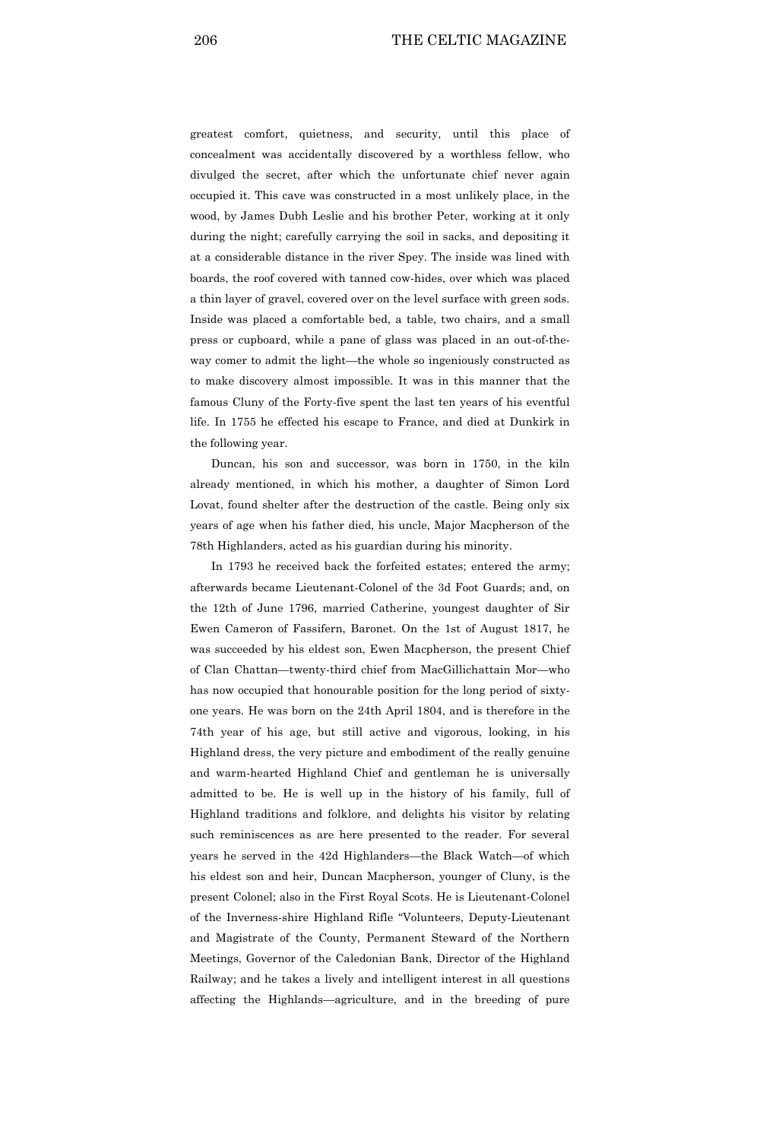greatest comfort, quietness, and security, until this place of concealment was accidentally discovered by a worthless fellow, who divulged the secret, after which the unfortunate chief never again occupied it. This cave was constructed in a most unlikely place, in the wood, by James Dubh Leslie and his brother Peter, working at it only during the night; carefully carrying the soil in sacks, and depositing it at a considerable distance in the river Spey. The inside was lined with boards, the roof covered with tanned cow-hides, over which was placed a thin layer of gravel, covered over on the level surface with green sods. Inside was placed a comfortable bed, a table, two chairs, and a small press or cupboard, while a pane of glass was placed in an out-of-theway comer to admit the light—the whole so ingeniously constructed as to make discovery almost impossible. It was in this manner that the famous Cluny of the Forty-five spent the last ten years of his eventful life. In 1755 he effected his escape to France, and died at Dunkirk in the following year.

Duncan, his son and successor, was born in 1750, in the kiln already mentioned, in which his mother, a daughter of Simon Lord Lovat, found shelter after the destruction of the castle. Being only six years of age when his father died, his uncle, Major Macpherson of the 78th Highlanders, acted as his guardian during his minority.

In 1793 he received back the forfeited estates; entered the army; afterwards became Lieutenant-Colonel of the 3d Foot Guards; and, on the 12th of June 1796, married Catherine, youngest daughter of Sir Ewen Cameron of Fassifern, Baronet. On the 1st of August 1817, he was succeeded by his eldest son, Ewen Macpherson, the present Chief of Clan Chattan—twenty-third chief from MacGillichattain Mor—who has now occupied that honourable position for the long period of sixtyone years. He was born on the 24th April 1804, and is therefore in the 74th year of his age, but still active and vigorous, looking, in his Highland dress, the very picture and embodiment of the really genuine and warm-hearted Highland Chief and gentleman he is universally admitted to be. He is well up in the history of his family, full of Highland traditions and folklore, and delights his visitor by relating such reminiscences as are here presented to the reader. For several years he served in the 42d Highlanders—the Black Watch—of which his eldest son and heir, Duncan Macpherson, younger of Cluny, is the present Colonel; also in the First Royal Scots. He is Lieutenant-Colonel of the Inverness-shire Highland Rifle "Volunteers, Deputy-Lieutenant and Magistrate of the County, Permanent Steward of the Northern Meetings, Governor of the Caledonian Bank, Director of the Highland Railway; and he takes a lively and intelligent interest in all questions affecting the Highlands—agriculture, and in the breeding of pure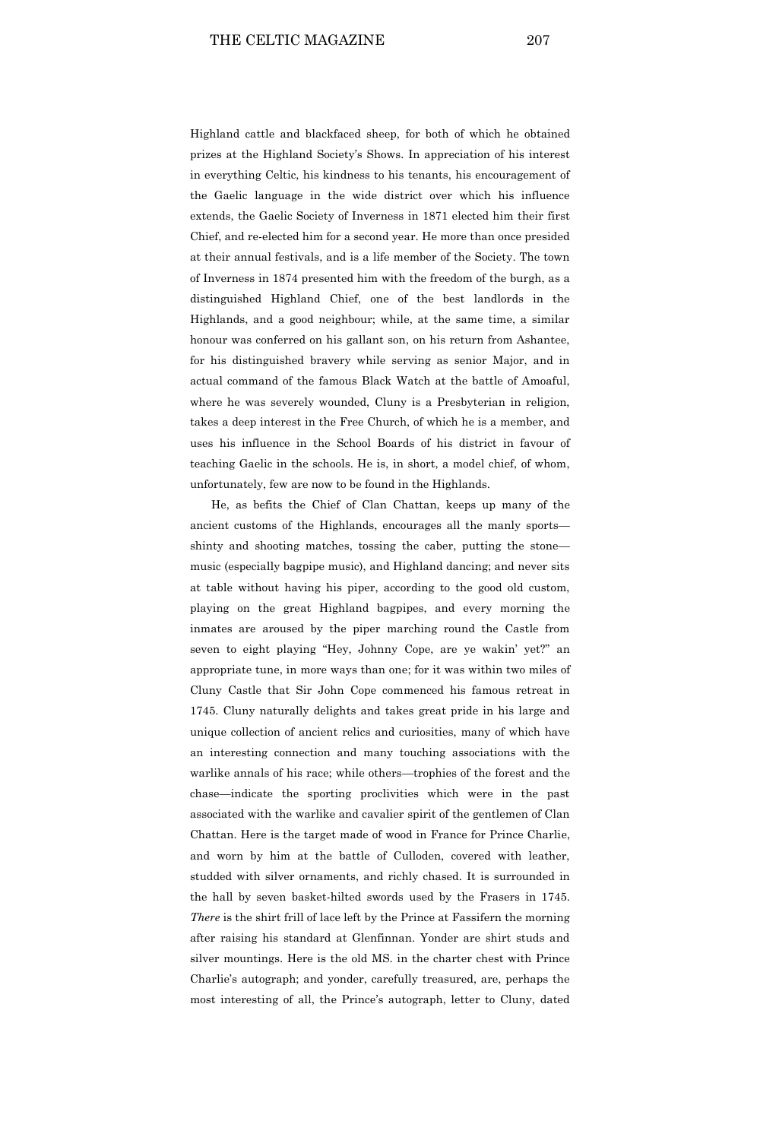Highland cattle and blackfaced sheep, for both of which he obtained prizes at the Highland Society's Shows. In appreciation of his interest in everything Celtic, his kindness to his tenants, his encouragement of the Gaelic language in the wide district over which his influence extends, the Gaelic Society of Inverness in 1871 elected him their first Chief, and re-elected him for a second year. He more than once presided at their annual festivals, and is a life member of the Society. The town of Inverness in 1874 presented him with the freedom of the burgh, as a distinguished Highland Chief, one of the best landlords in the Highlands, and a good neighbour; while, at the same time, a similar honour was conferred on his gallant son, on his return from Ashantee, for his distinguished bravery while serving as senior Major, and in actual command of the famous Black Watch at the battle of Amoaful,

where he was severely wounded, Cluny is a Presbyterian in religion, takes a deep interest in the Free Church, of which he is a member, and uses his influence in the School Boards of his district in favour of teaching Gaelic in the schools. He is, in short, a model chief, of whom, unfortunately, few are now to be found in the Highlands.

He, as befits the Chief of Clan Chattan, keeps up many of the ancient customs of the Highlands, encourages all the manly sports shinty and shooting matches, tossing the caber, putting the stone music (especially bagpipe music), and Highland dancing; and never sits at table without having his piper, according to the good old custom, playing on the great Highland bagpipes, and every morning the inmates are aroused by the piper marching round the Castle from seven to eight playing "Hey, Johnny Cope, are ye wakin' yet?" an appropriate tune, in more ways than one; for it was within two miles of Cluny Castle that Sir John Cope commenced his famous retreat in 1745. Cluny naturally delights and takes great pride in his large and unique collection of ancient relics and curiosities, many of which have an interesting connection and many touching associations with the warlike annals of his race; while others—trophies of the forest and the chase—indicate the sporting proclivities which were in the past associated with the warlike and cavalier spirit of the gentlemen of Clan Chattan. Here is the target made of wood in France for Prince Charlie, and worn by him at the battle of Culloden, covered with leather, studded with silver ornaments, and richly chased. It is surrounded in the hall by seven basket-hilted swords used by the Frasers in 1745. *There* is the shirt frill of lace left by the Prince at Fassifern the morning after raising his standard at Glenfinnan. Yonder are shirt studs and silver mountings. Here is the old MS. in the charter chest with Prince Charlie's autograph; and yonder, carefully treasured, are, perhaps the most interesting of all, the Prince's autograph, letter to Cluny, dated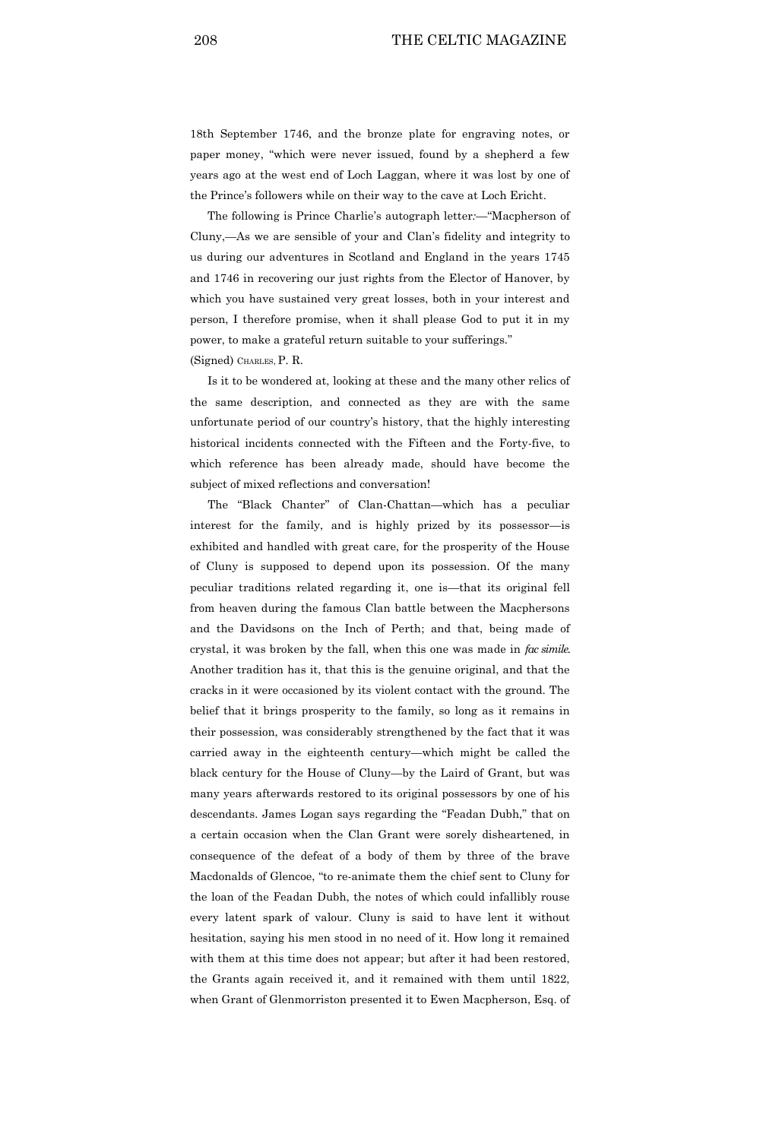18th September 1746, and the bronze plate for engraving notes, or paper money, "which were never issued, found by a shepherd a few years ago at the west end of Loch Laggan, where it was lost by one of the Prince's followers while on their way to the cave at Loch Ericht.

The following is Prince Charlie's autograph letter*:—*"Macpherson of Cluny,—As we are sensible of your and Clan's fidelity and integrity to us during our adventures in Scotland and England in the years 1745 and 1746 in recovering our just rights from the Elector of Hanover, by which you have sustained very great losses, both in your interest and person, I therefore promise, when it shall please God to put it in my power, to make a grateful return suitable to your sufferings." (Signed) CHARLES, P. R.

Is it to be wondered at, looking at these and the many other relics of the same description, and connected as they are with the same unfortunate period of our country's history, that the highly interesting historical incidents connected with the Fifteen and the Forty-five, to which reference has been already made, should have become the subject of mixed reflections and conversation!

The "Black Chanter" of Clan-Chattan—which has a peculiar interest for the family, and is highly prized by its possessor—is exhibited and handled with great care, for the prosperity of the House of Cluny is supposed to depend upon its possession. Of the many peculiar traditions related regarding it, one is—that its original fell from heaven during the famous Clan battle between the Macphersons and the Davidsons on the Inch of Perth; and that, being made of crystal, it was broken by the fall, when this one was made in *fac simile.* Another tradition has it, that this is the genuine original, and that the cracks in it were occasioned by its violent contact with the ground. The belief that it brings prosperity to the family, so long as it remains in their possession, was considerably strengthened by the fact that it was carried away in the eighteenth century—which might be called the black century for the House of Cluny—by the Laird of Grant, but was many years afterwards restored to its original possessors by one of his descendants. James Logan says regarding the "Feadan Dubh," that on a certain occasion when the Clan Grant were sorely disheartened, in consequence of the defeat of a body of them by three of the brave Macdonalds of Glencoe, "to re-animate them the chief sent to Cluny for the loan of the Feadan Dubh, the notes of which could infallibly rouse every latent spark of valour. Cluny is said to have lent it without hesitation, saying his men stood in no need of it. How long it remained with them at this time does not appear; but after it had been restored, the Grants again received it, and it remained with them until 1822, when Grant of Glenmorriston presented it to Ewen Macpherson, Esq. of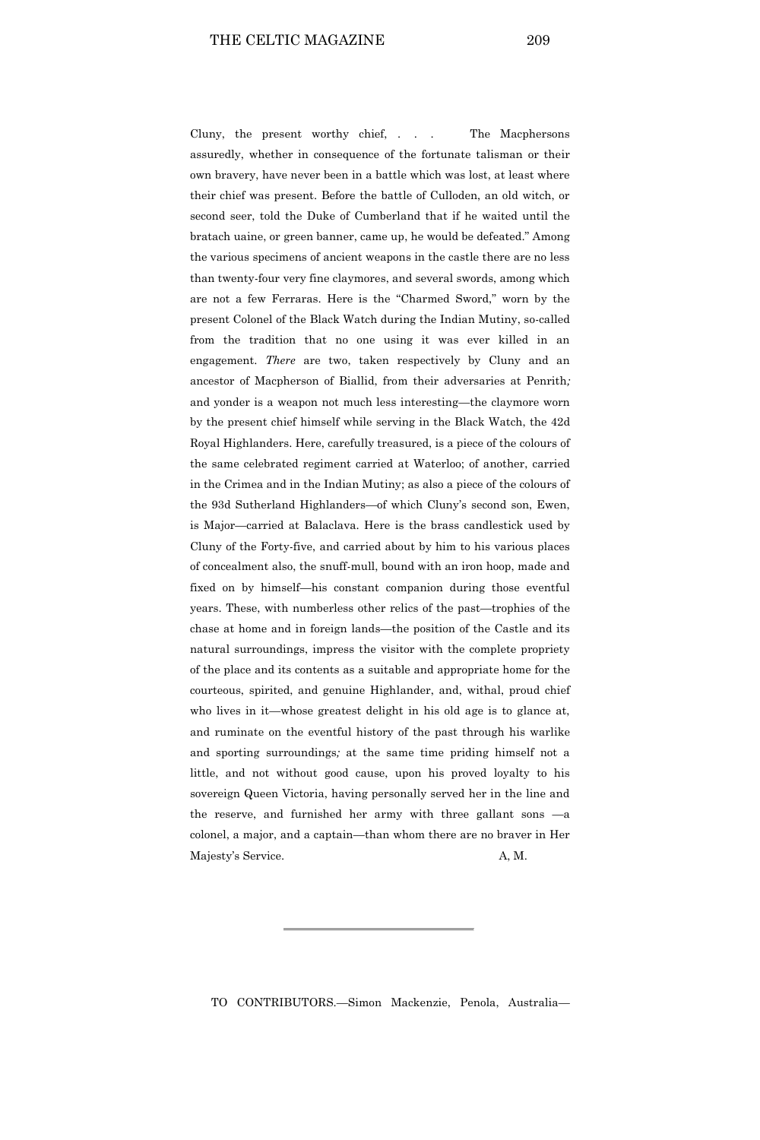Cluny, the present worthy chief, . . . The Macphersons assuredly, whether in consequence of the fortunate talisman or their own bravery, have never been in a battle which was lost, at least where their chief was present. Before the battle of Culloden, an old witch, or second seer, told the Duke of Cumberland that if he waited until the bratach uaine, or green banner, came up, he would be defeated." Among the various specimens of ancient weapons in the castle there are no less than twenty-four very fine claymores, and several swords, among which are not a few Ferraras. Here is the "Charmed Sword," worn by the present Colonel of the Black Watch during the Indian Mutiny, so-called from the tradition that no one using it was ever killed in an engagement. *There* are two, taken respectively by Cluny and an ancestor of Macpherson of Biallid, from their adversaries at Penrith*;* and yonder is a weapon not much less interesting—the claymore worn by the present chief himself while serving in the Black Watch, the 42d Royal Highlanders. Here, carefully treasured, is a piece of the colours of the same celebrated regiment carried at Waterloo; of another, carried in the Crimea and in the Indian Mutiny; as also a piece of the colours of the 93d Sutherland Highlanders—of which Cluny's second son, Ewen, is Major—carried at Balaclava. Here is the brass candlestick used by Cluny of the Forty-five, and carried about by him to his various places of concealment also, the snuff-mull, bound with an iron hoop, made and fixed on by himself—his constant companion during those eventful years. These, with numberless other relics of the past—trophies of the chase at home and in foreign lands—the position of the Castle and its natural surroundings, impress the visitor with the complete propriety of the place and its contents as a suitable and appropriate home for the courteous, spirited, and genuine Highlander, and, withal, proud chief who lives in it—whose greatest delight in his old age is to glance at, and ruminate on the eventful history of the past through his warlike and sporting surroundings*;* at the same time priding himself not a little, and not without good cause, upon his proved loyalty to his sovereign Queen Victoria, having personally served her in the line and the reserve, and furnished her army with three gallant sons —a colonel, a major, and a captain—than whom there are no braver in Her Majesty's Service. A, M.

TO CONTRIBUTORS.—Simon Mackenzie, Penola, Australia—